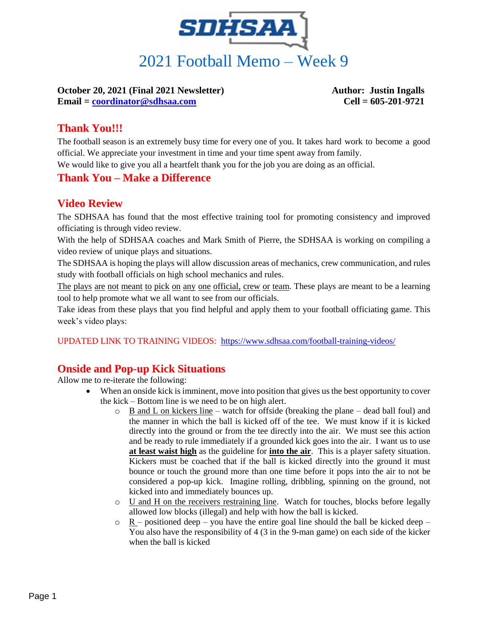

**October 20, 2021 (Final 2021 Newsletter) Author: Justin Ingalls Email = [coordinator@sdhsaa.com](mailto:coordinator@sdhsaa.com) Cell = 605-201-9721**

## **Thank You!!!**

The football season is an extremely busy time for every one of you. It takes hard work to become a good official. We appreciate your investment in time and your time spent away from family.

We would like to give you all a heartfelt thank you for the job you are doing as an official.

#### **Thank You – Make a Difference**

#### **Video Review**

The SDHSAA has found that the most effective training tool for promoting consistency and improved officiating is through video review.

With the help of SDHSAA coaches and Mark Smith of Pierre, the SDHSAA is working on compiling a video review of unique plays and situations.

The SDHSAA is hoping the plays will allow discussion areas of mechanics, crew communication, and rules study with football officials on high school mechanics and rules.

The plays are not meant to pick on any one official, crew or team. These plays are meant to be a learning tool to help promote what we all want to see from our officials.

Take ideas from these plays that you find helpful and apply them to your football officiating game. This week's video plays:

UPDATED LINK TO TRAINING VIDEOS: <https://www.sdhsaa.com/football-training-videos/>

## **Onside and Pop-up Kick Situations**

Allow me to re-iterate the following:

- When an onside kick is imminent, move into position that gives us the best opportunity to cover the kick – Bottom line is we need to be on high alert.
	- $\circ$  B and L on kickers line watch for offside (breaking the plane dead ball foul) and the manner in which the ball is kicked off of the tee. We must know if it is kicked directly into the ground or from the tee directly into the air. We must see this action and be ready to rule immediately if a grounded kick goes into the air. I want us to use **at least waist high** as the guideline for **into the air**. This is a player safety situation. Kickers must be coached that if the ball is kicked directly into the ground it must bounce or touch the ground more than one time before it pops into the air to not be considered a pop-up kick. Imagine rolling, dribbling, spinning on the ground, not kicked into and immediately bounces up.
	- o U and H on the receivers restraining line. Watch for touches, blocks before legally allowed low blocks (illegal) and help with how the ball is kicked.
	- $\circ$  R positioned deep you have the entire goal line should the ball be kicked deep You also have the responsibility of 4 (3 in the 9-man game) on each side of the kicker when the ball is kicked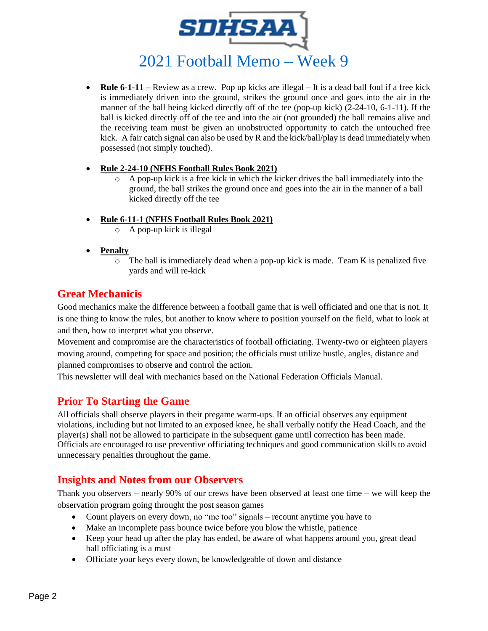

- **Rule 6-1-11 –** Review as a crew. Pop up kicks are illegal It is a dead ball foul if a free kick is immediately driven into the ground, strikes the ground once and goes into the air in the manner of the ball being kicked directly off of the tee (pop-up kick) (2-24-10, 6-1-11). If the ball is kicked directly off of the tee and into the air (not grounded) the ball remains alive and the receiving team must be given an unobstructed opportunity to catch the untouched free kick. A fair catch signal can also be used by R and the kick/ball/play is dead immediately when possessed (not simply touched).
- **Rule 2-24-10 (NFHS Football Rules Book 2021)** 
	- $\circ$  A pop-up kick is a free kick in which the kicker drives the ball immediately into the ground, the ball strikes the ground once and goes into the air in the manner of a ball kicked directly off the tee
- **Rule 6-11-1 (NFHS Football Rules Book 2021)**
	- o A pop-up kick is illegal
- **Penalty** 
	- $\circ$  The ball is immediately dead when a pop-up kick is made. Team K is penalized five yards and will re-kick

#### **Great Mechanicis**

Good mechanics make the difference between a football game that is well officiated and one that is not. It is one thing to know the rules, but another to know where to position yourself on the field, what to look at and then, how to interpret what you observe.

Movement and compromise are the characteristics of football officiating. Twenty-two or eighteen players moving around, competing for space and position; the officials must utilize hustle, angles, distance and planned compromises to observe and control the action.

This newsletter will deal with mechanics based on the National Federation Officials Manual.

#### **Prior To Starting the Game**

All officials shall observe players in their pregame warm-ups. If an official observes any equipment violations, including but not limited to an exposed knee, he shall verbally notify the Head Coach, and the player(s) shall not be allowed to participate in the subsequent game until correction has been made. Officials are encouraged to use preventive officiating techniques and good communication skills to avoid unnecessary penalties throughout the game.

#### **Insights and Notes from our Observers**

Thank you observers – nearly 90% of our crews have been observed at least one time – we will keep the observation program going throught the post season games

- Count players on every down, no "me too" signals recount anytime you have to
- Make an incomplete pass bounce twice before you blow the whistle, patience
- Keep your head up after the play has ended, be aware of what happens around you, great dead ball officiating is a must
- Officiate your keys every down, be knowledgeable of down and distance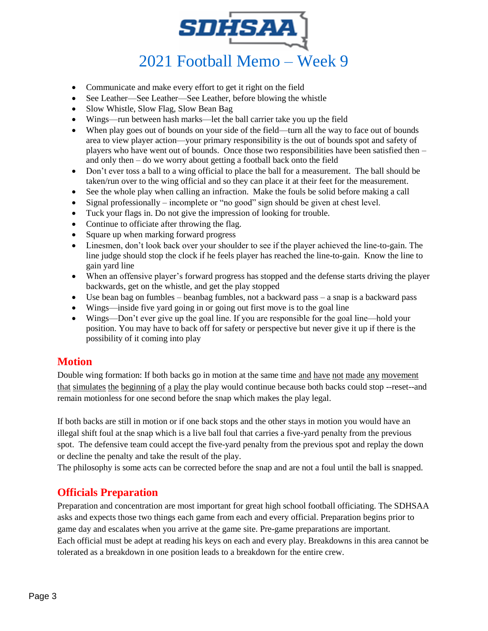

- Communicate and make every effort to get it right on the field
- See Leather—See Leather—See Leather, before blowing the whistle
- Slow Whistle, Slow Flag, Slow Bean Bag
- Wings—run between hash marks—let the ball carrier take you up the field
- When play goes out of bounds on your side of the field—turn all the way to face out of bounds area to view player action—your primary responsibility is the out of bounds spot and safety of players who have went out of bounds. Once those two responsibilities have been satisfied then – and only then – do we worry about getting a football back onto the field
- Don't ever toss a ball to a wing official to place the ball for a measurement. The ball should be taken/run over to the wing official and so they can place it at their feet for the measurement.
- See the whole play when calling an infraction. Make the fouls be solid before making a call
- Signal professionally incomplete or "no good" sign should be given at chest level.
- Tuck your flags in. Do not give the impression of looking for trouble.
- Continue to officiate after throwing the flag.
- Square up when marking forward progress
- Linesmen, don't look back over your shoulder to see if the player achieved the line-to-gain. The line judge should stop the clock if he feels player has reached the line-to-gain. Know the line to gain yard line
- When an offensive player's forward progress has stopped and the defense starts driving the player backwards, get on the whistle, and get the play stopped
- Use bean bag on fumbles beanbag fumbles, not a backward pass a snap is a backward pass
- Wings—inside five yard going in or going out first move is to the goal line
- Wings—Don't ever give up the goal line. If you are responsible for the goal line—hold your position. You may have to back off for safety or perspective but never give it up if there is the possibility of it coming into play

#### **Motion**

Double wing formation: If both backs go in motion at the same time and have not made any movement that simulates the beginning of a play the play would continue because both backs could stop --reset--and remain motionless for one second before the snap which makes the play legal.

If both backs are still in motion or if one back stops and the other stays in motion you would have an illegal shift foul at the snap which is a live ball foul that carries a five-yard penalty from the previous spot. The defensive team could accept the five-yard penalty from the previous spot and replay the down or decline the penalty and take the result of the play.

The philosophy is some acts can be corrected before the snap and are not a foul until the ball is snapped.

#### **Officials Preparation**

Preparation and concentration are most important for great high school football officiating. The SDHSAA asks and expects those two things each game from each and every official. Preparation begins prior to game day and escalates when you arrive at the game site. Pre-game preparations are important. Each official must be adept at reading his keys on each and every play. Breakdowns in this area cannot be tolerated as a breakdown in one position leads to a breakdown for the entire crew.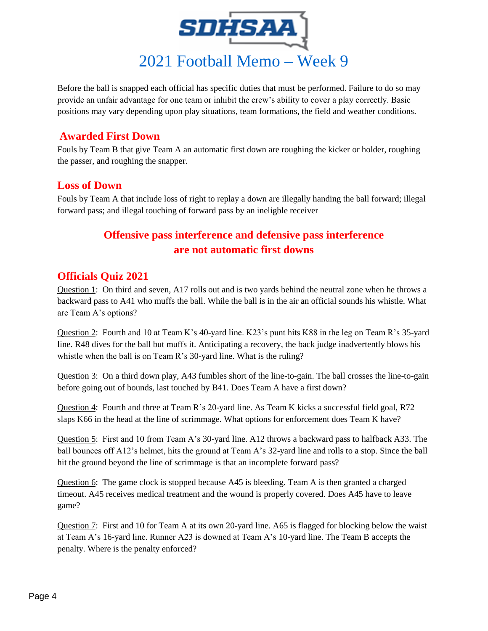

Before the ball is snapped each official has specific duties that must be performed. Failure to do so may provide an unfair advantage for one team or inhibit the crew's ability to cover a play correctly. Basic positions may vary depending upon play situations, team formations, the field and weather conditions.

## **Awarded First Down**

Fouls by Team B that give Team A an automatic first down are roughing the kicker or holder, roughing the passer, and roughing the snapper.

## **Loss of Down**

Fouls by Team A that include loss of right to replay a down are illegally handing the ball forward; illegal forward pass; and illegal touching of forward pass by an ineligble receiver

## **Offensive pass interference and defensive pass interference are not automatic first downs**

## **Officials Quiz 2021**

Question 1: On third and seven, A17 rolls out and is two yards behind the neutral zone when he throws a backward pass to A41 who muffs the ball. While the ball is in the air an official sounds his whistle. What are Team A's options?

Question 2: Fourth and 10 at Team K's 40-yard line. K23's punt hits K88 in the leg on Team R's 35-yard line. R48 dives for the ball but muffs it. Anticipating a recovery, the back judge inadvertently blows his whistle when the ball is on Team R's 30-yard line. What is the ruling?

Question 3: On a third down play, A43 fumbles short of the line-to-gain. The ball crosses the line-to-gain before going out of bounds, last touched by B41. Does Team A have a first down?

Question 4: Fourth and three at Team R's 20-yard line. As Team K kicks a successful field goal, R72 slaps K66 in the head at the line of scrimmage. What options for enforcement does Team K have?

Question 5: First and 10 from Team A's 30-yard line. A12 throws a backward pass to halfback A33. The ball bounces off A12's helmet, hits the ground at Team A's 32-yard line and rolls to a stop. Since the ball hit the ground beyond the line of scrimmage is that an incomplete forward pass?

Question 6: The game clock is stopped because A45 is bleeding. Team A is then granted a charged timeout. A45 receives medical treatment and the wound is properly covered. Does A45 have to leave game?

Question 7: First and 10 for Team A at its own 20-yard line. A65 is flagged for blocking below the waist at Team A's 16-yard line. Runner A23 is downed at Team A's 10-yard line. The Team B accepts the penalty. Where is the penalty enforced?